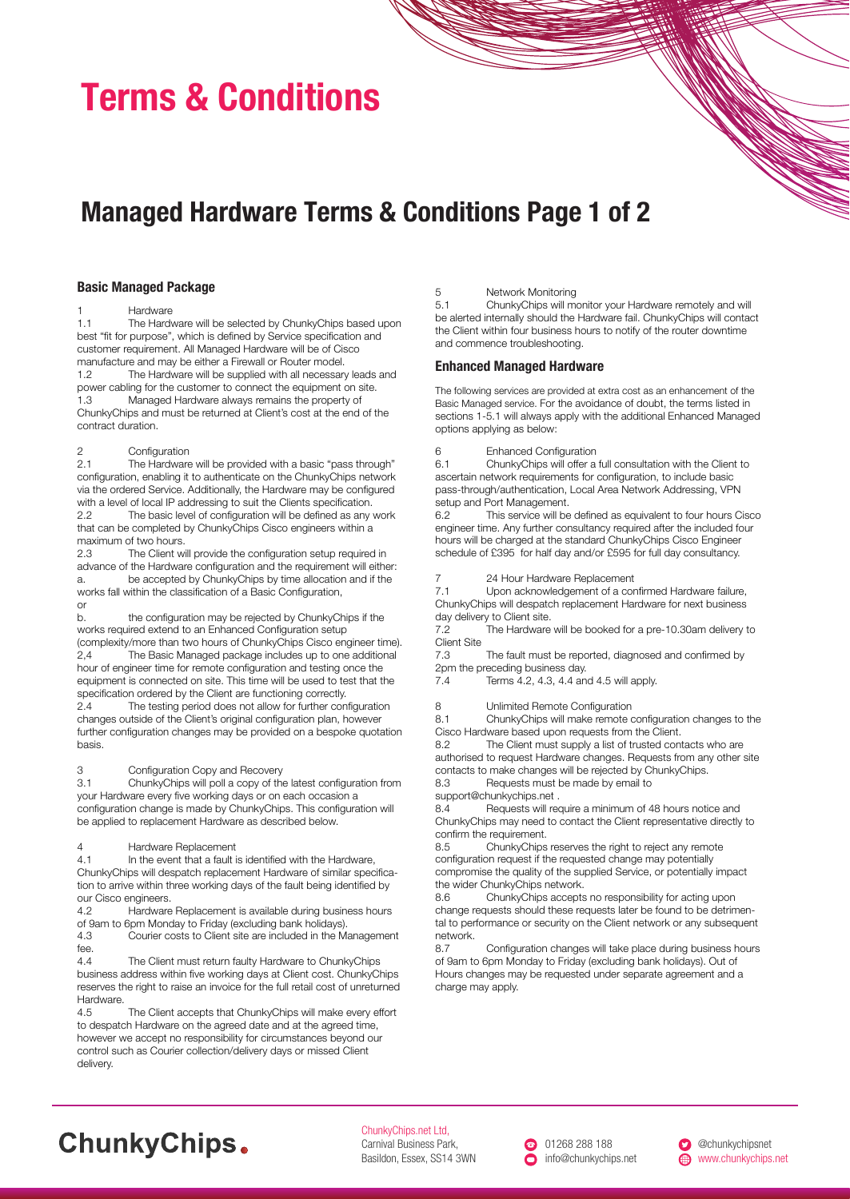# Terms & Conditions

### Managed Hardware Terms & Conditions Page 1 of 2

#### Basic Managed Package

1 Hardware<br>1.1 The Hard The Hardware will be selected by ChunkyChips based upon best "fit for purpose", which is defined by Service specification and customer requirement. All Managed Hardware will be of Cisco manufacture and may be either a Firewall or Router model. 1.2 The Hardware will be supplied with all necessary leads and power cabling for the customer to connect the equipment on site.<br>1.3 Managed Hardware always remains the property of Managed Hardware always remains the property of ChunkyChips and must be returned at Client's cost at the end of the contract duration.

### 2 Configuration<br>2.1 The Hardware

The Hardware will be provided with a basic "pass through" configuration, enabling it to authenticate on the ChunkyChips network via the ordered Service. Additionally, the Hardware may be configured with a level of local IP addressing to suit the Clients specification. 2.2 The basic level of configuration will be defined as any work that can be completed by ChunkyChips Cisco engineers within a maximum of two hours.

2.3 The Client will provide the configuration setup required in advance of the Hardware configuration and the requirement will either: a. be accepted by ChunkyChips by time allocation and if the works fall within the classification of a Basic Configuration, or

b. the configuration may be rejected by ChunkyChips if the works required extend to an Enhanced Configuration setup (complexity/more than two hours of ChunkyChips Cisco engineer time). 2,4 The Basic Managed package includes up to one additional hour of engineer time for remote configuration and testing once the equipment is connected on site. This time will be used to test that the specification ordered by the Client are functioning correctly.

2.4 The testing period does not allow for further configuration changes outside of the Client's original configuration plan, however further configuration changes may be provided on a bespoke quotation basis.

#### 3 Configuration Copy and Recovery

3.1 ChunkyChips will poll a copy of the latest configuration from your Hardware every five working days or on each occasion a configuration change is made by ChunkyChips. This configuration will be applied to replacement Hardware as described below.

### 4 Hardware Replacement<br>4.1 In the event that a fault i

In the event that a fault is identified with the Hardware, ChunkyChips will despatch replacement Hardware of similar specification to arrive within three working days of the fault being identified by our Cisco engineers.

4.2 Hardware Replacement is available during business hours of 9am to 6pm Monday to Friday (excluding bank holidays).<br>4.3 Courier costs to Client site are included in the M

Courier costs to Client site are included in the Management fee.

4.4 The Client must return faulty Hardware to ChunkyChips business address within five working days at Client cost. ChunkyChips reserves the right to raise an invoice for the full retail cost of unreturned Hardware.<br>4.5

The Client accepts that ChunkyChips will make every effort to despatch Hardware on the agreed date and at the agreed time, however we accept no responsibility for circumstances beyond our control such as Courier collection/delivery days or missed Client delivery.

#### 5 Network Monitoring

5.1 ChunkyChips will monitor your Hardware remotely and will be alerted internally should the Hardware fail. ChunkyChips will contact the Client within four business hours to notify of the router downtime and commence troubleshooting.

### Enhanced Managed Hardware

The following services are provided at extra cost as an enhancement of the Basic Managed service. For the avoidance of doubt, the terms listed in sections 1-5.1 will always apply with the additional Enhanced Managed options applying as below:

6 Enhanced Configuration<br>6.1 ChunkyChins will offer a

6.1 ChunkyChips will offer a full consultation with the Client to ascertain network requirements for configuration, to include basic pass-through/authentication, Local Area Network Addressing, VPN setup and Port Management.

6.2 This service will be defined as equivalent to four hours Cisco engineer time. Any further consultancy required after the included four hours will be charged at the standard ChunkyChips Cisco Engineer schedule of £395 for half day and/or £595 for full day consultancy.

7 24 Hour Hardware Replacement<br>7.1 Upon acknowledgement of a cor

Upon acknowledgement of a confirmed Hardware failure, ChunkyChips will despatch replacement Hardware for next business day delivery to Client site.

7.2 The Hardware will be booked for a pre-10.30am delivery to Client Site<br>7.3

The fault must be reported, diagnosed and confirmed by 2pm the preceding business day.

7.4 Terms 4.2, 4.3, 4.4 and 4.5 will apply.

8 Unlimited Remote Configuration

8.1 ChunkyChips will make remote configuration changes to the Cisco Hardware based upon requests from the Client.<br>8.2 The Client must supply a list of trusted con

The Client must supply a list of trusted contacts who are authorised to request Hardware changes. Requests from any other site contacts to make changes will be rejected by ChunkyChips.

8.3 Requests must be made by email to

support@chunkychips.net .

8.4 Requests will require a minimum of 48 hours notice and ChunkyChips may need to contact the Client representative directly to confirm the requirement.

8.5 ChunkyChips reserves the right to reject any remote configuration request if the requested change may potentially compromise the quality of the supplied Service, or potentially impact the wider ChunkyChips network.

8.6 ChunkyChips accepts no responsibility for acting upon change requests should these requests later be found to be detrimental to performance or security on the Client network or any subsequent network.

8.7 Configuration changes will take place during business hours of 9am to 6pm Monday to Friday (excluding bank holidays). Out of Hours changes may be requested under separate agreement and a charge may apply.

## **ChunkyChips.**

ChunkyChips.net Ltd, Carnival Business Park, Basildon, Essex, SS14 3WN